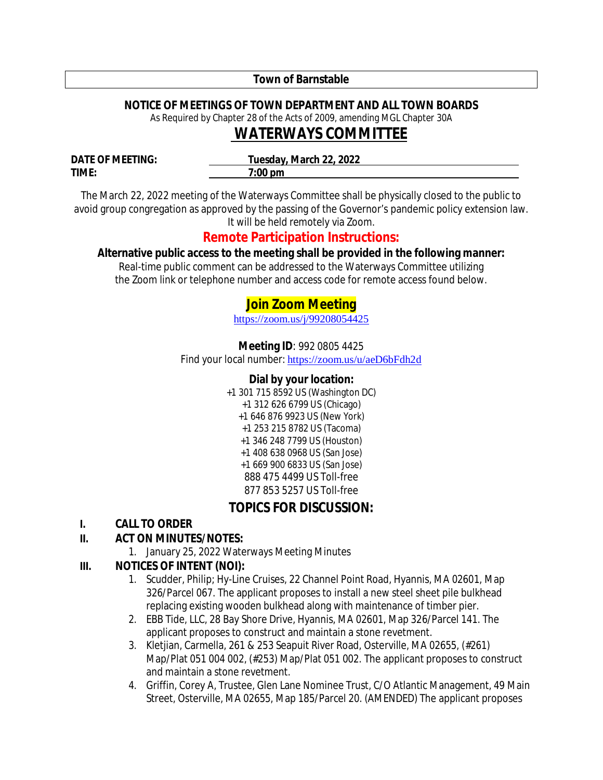#### **Town of Barnstable**

#### **NOTICE OF MEETINGS OF TOWN DEPARTMENT AND ALL TOWN BOARDS**

As Required by Chapter 28 of the Acts of 2009, amending MGL Chapter 30A

# *WATERWAYS* **COMMITTEE**

**DATE OF MEETING: Tuesday, March 22, 2022 TIME: 7:00 pm**

The March 22, 2022 meeting of the Waterways Committee shall be physically closed to the public to avoid group congregation as approved by the passing of the Governor's pandemic policy extension law. It will be held remotely via Zoom.

# **Remote Participation Instructions:**

#### **Alternative public access to the meeting shall be provided in the following manner:**

Real-time public comment can be addressed to the Waterways Committee utilizing the Zoom link or telephone number and access code for remote access found below.

# **Join Zoom Meeting**

https://zoom.us/j/99208054425

**Meeting ID**: 992 0805 4425

Find your local number: https://zoom.us/u/aeD6bFdh2d

#### **Dial by your location:**

+1 301 715 8592 US (Washington DC) +1 312 626 6799 US (Chicago) +1 646 876 9923 US (New York) +1 253 215 8782 US (Tacoma) +1 346 248 7799 US (Houston) +1 408 638 0968 US (San Jose) +1 669 900 6833 US (San Jose) 888 475 4499 US Toll-free 877 853 5257 US Toll-free

# **TOPICS FOR DISCUSSION:**

#### **I. CALL TO ORDER**

#### **II. ACT ON MINUTES/NOTES:**

1. January 25, 2022 Waterways Meeting Minutes

#### **III. NOTICES OF INTENT (NOI):**

- 1. Scudder, Philip; Hy-Line Cruises, 22 Channel Point Road, Hyannis, MA 02601, Map 326/Parcel 067. The applicant proposes to install a new steel sheet pile bulkhead replacing existing wooden bulkhead along with maintenance of timber pier.
- 2. EBB Tide, LLC, 28 Bay Shore Drive, Hyannis, MA 02601, Map 326/Parcel 141. The applicant proposes to construct and maintain a stone revetment.
- 3. Kletjian, Carmella, 261 & 253 Seapuit River Road, Osterville, MA 02655, (#261) Map/Plat 051 004 002, (#253) Map/Plat 051 002. The applicant proposes to construct and maintain a stone revetment.
- 4. Griffin, Corey A, Trustee, Glen Lane Nominee Trust, C/O Atlantic Management, 49 Main Street, Osterville, MA 02655, Map 185/Parcel 20. (AMENDED) The applicant proposes